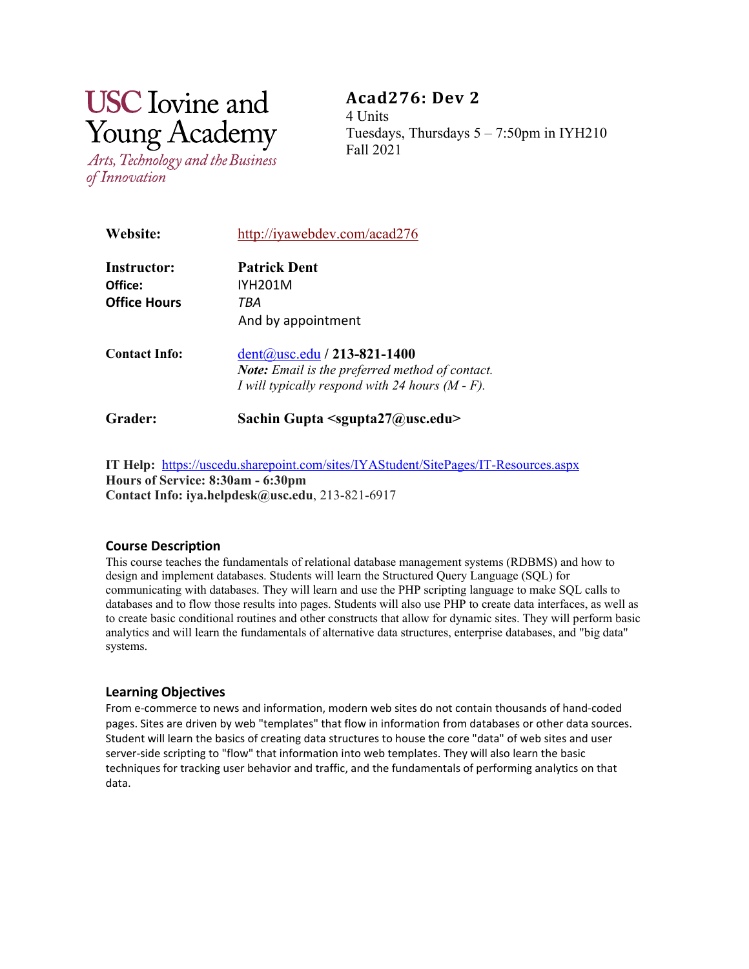# **USC** Iovine and **Young Academy**

Arts, Technology and the Business of Innovation

**Acad276: Dev 2** 4 Units Tuesdays, Thursdays  $5 - 7:50$ pm in IYH210 Fall 2021

| <b>Website:</b>        | http://iyawebdev.com/acad276                                                                                                                     |
|------------------------|--------------------------------------------------------------------------------------------------------------------------------------------------|
| Instructor:<br>Office: | <b>Patrick Dent</b><br>IYH201M                                                                                                                   |
| <b>Office Hours</b>    | TBA<br>And by appointment                                                                                                                        |
| <b>Contact Info:</b>   | $dent(a)$ usc.edu / 213-821-1400<br><b>Note:</b> Email is the preferred method of contact.<br>I will typically respond with 24 hours $(M - F)$ . |
| Grader:                | Sachin Gupta $\le$ sgupta27@usc.edu>                                                                                                             |

**IT Help:** <https://uscedu.sharepoint.com/sites/IYAStudent/SitePages/IT-Resources.aspx> **Hours of Service: 8:30am - 6:30pm Contact Info: iya.helpdesk@usc.edu**, 213-821-6917

# **Course Description**

This course teaches the fundamentals of relational database management systems (RDBMS) and how to design and implement databases. Students will learn the Structured Query Language (SQL) for communicating with databases. They will learn and use the PHP scripting language to make SQL calls to databases and to flow those results into pages. Students will also use PHP to create data interfaces, as well as to create basic conditional routines and other constructs that allow for dynamic sites. They will perform basic analytics and will learn the fundamentals of alternative data structures, enterprise databases, and "big data" systems.

# **Learning Objectives**

From e-commerce to news and information, modern web sites do not contain thousands of hand-coded pages. Sites are driven by web "templates" that flow in information from databases or other data sources. Student will learn the basics of creating data structures to house the core "data" of web sites and user server-side scripting to "flow" that information into web templates. They will also learn the basic techniques for tracking user behavior and traffic, and the fundamentals of performing analytics on that data.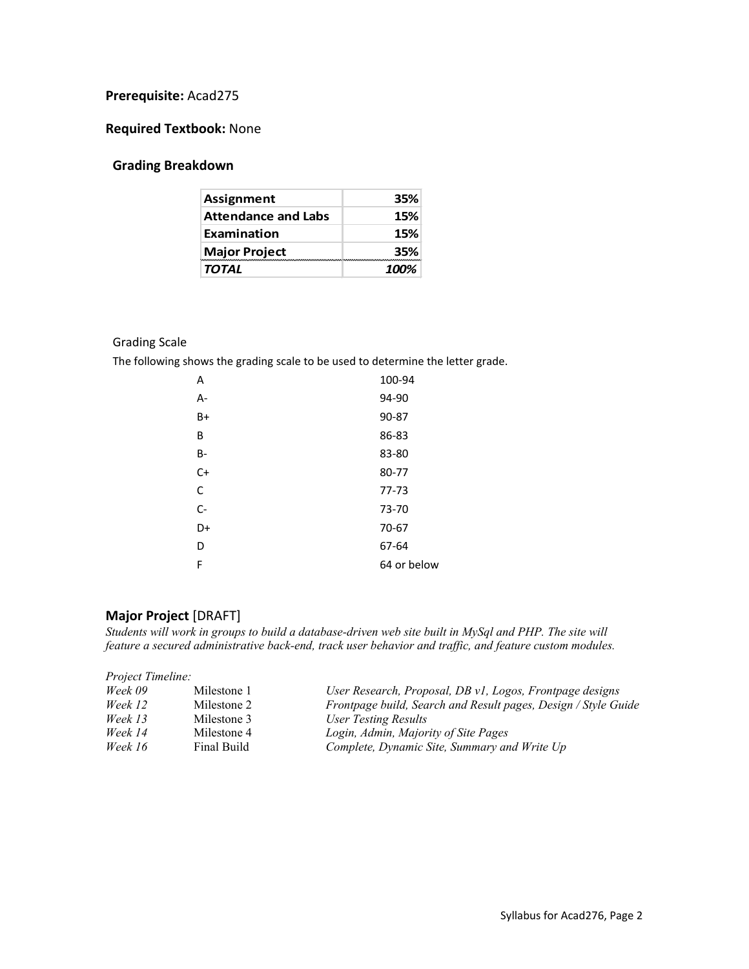# **Prerequisite:** Acad275

# **Required Textbook:** None

# **Grading Breakdown**

| <b>Assignment</b>          | 35%  |
|----------------------------|------|
| <b>Attendance and Labs</b> | 15%  |
| Examination                | 15%  |
| <b>Major Project</b>       | 35%  |
| <b>TOTAL</b>               | 100% |

## Grading Scale

The following shows the grading scale to be used to determine the letter grade.

| Α    | 100-94      |
|------|-------------|
| A-   | 94-90       |
| B+   | 90-87       |
| B    | 86-83       |
| B-   | 83-80       |
| $C+$ | 80-77       |
| C    | $77 - 73$   |
| $C-$ | 73-70       |
| D+   | 70-67       |
| D    | 67-64       |
| F    | 64 or below |

# **Major Project** [DRAFT]

*Students will work in groups to build a database-driven web site built in MySql and PHP. The site will feature a secured administrative back-end, track user behavior and traffic, and feature custom modules.* 

#### *Project Timeline:*

| Week 09 | Milestone 1 | User Research, Proposal, DB v1, Logos, Frontpage designs       |
|---------|-------------|----------------------------------------------------------------|
| Week 12 | Milestone 2 | Frontpage build, Search and Result pages, Design / Style Guide |
| Week 13 | Milestone 3 | User Testing Results                                           |
| Week 14 | Milestone 4 | Login, Admin, Majority of Site Pages                           |
| Week 16 | Final Build | Complete, Dynamic Site, Summary and Write Up                   |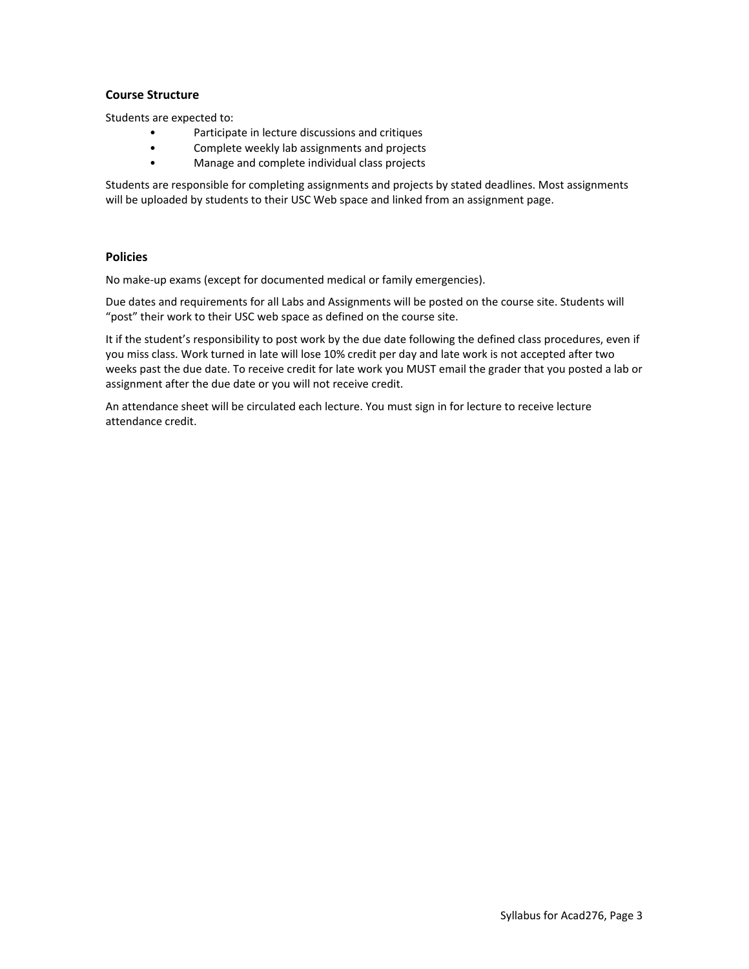## **Course Structure**

Students are expected to:

- Participate in lecture discussions and critiques
- Complete weekly lab assignments and projects
- Manage and complete individual class projects

Students are responsible for completing assignments and projects by stated deadlines. Most assignments will be uploaded by students to their USC Web space and linked from an assignment page.

## **Policies**

No make-up exams (except for documented medical or family emergencies).

Due dates and requirements for all Labs and Assignments will be posted on the course site. Students will "post" their work to their USC web space as defined on the course site.

It if the student's responsibility to post work by the due date following the defined class procedures, even if you miss class. Work turned in late will lose 10% credit per day and late work is not accepted after two weeks past the due date. To receive credit for late work you MUST email the grader that you posted a lab or assignment after the due date or you will not receive credit.

An attendance sheet will be circulated each lecture. You must sign in for lecture to receive lecture attendance credit.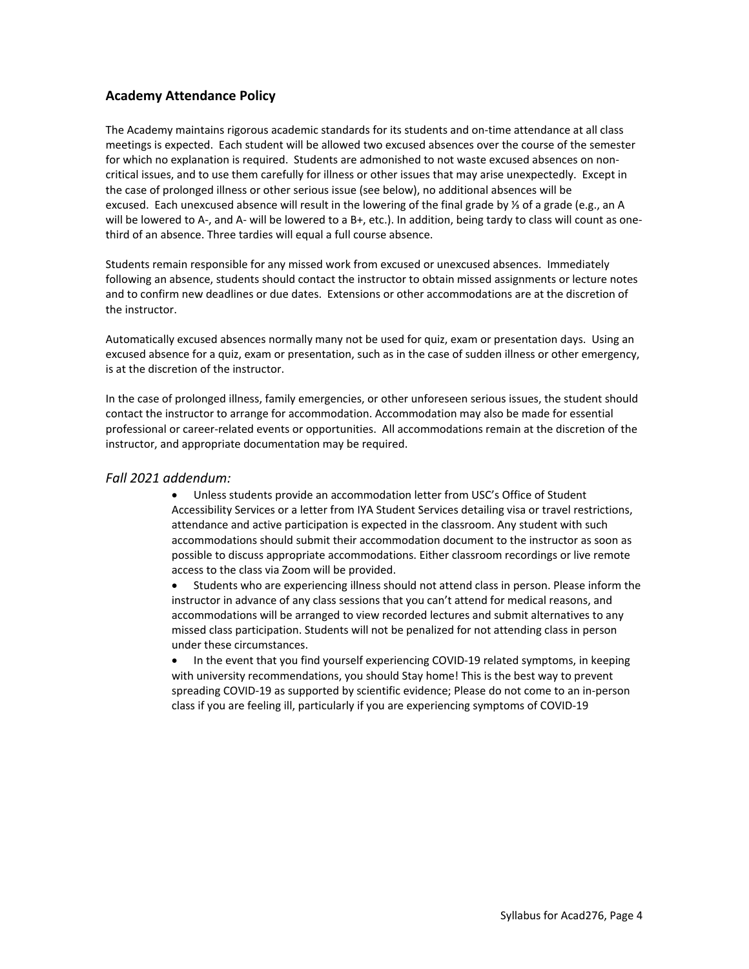# **Academy Attendance Policy**

The Academy maintains rigorous academic standards for its students and on-time attendance at all class meetings is expected.  Each student will be allowed two excused absences over the course of the semester for which no explanation is required. Students are admonished to not waste excused absences on noncritical issues, and to use them carefully for illness or other issues that may arise unexpectedly.  Except in the case of prolonged illness or other serious issue (see below), no additional absences will be excused. Each unexcused absence will result in the lowering of the final grade by ⅓ of a grade (e.g., an A will be lowered to A-, and A- will be lowered to a B+, etc.). In addition, being tardy to class will count as onethird of an absence. Three tardies will equal a full course absence.

Students remain responsible for any missed work from excused or unexcused absences.  Immediately following an absence, students should contact the instructor to obtain missed assignments or lecture notes and to confirm new deadlines or due dates.  Extensions or other accommodations are at the discretion of the instructor.

Automatically excused absences normally many not be used for quiz, exam or presentation days.  Using an excused absence for a quiz, exam or presentation, such as in the case of sudden illness or other emergency, is at the discretion of the instructor.

In the case of prolonged illness, family emergencies, or other unforeseen serious issues, the student should contact the instructor to arrange for accommodation. Accommodation may also be made for essential professional or career-related events or opportunities.  All accommodations remain at the discretion of the instructor, and appropriate documentation may be required.

# *Fall 2021 addendum:*

• Unless students provide an accommodation letter from USC's Office of Student Accessibility Services or a letter from IYA Student Services detailing visa or travel restrictions, attendance and active participation is expected in the classroom. Any student with such accommodations should submit their accommodation document to the instructor as soon as possible to discuss appropriate accommodations. Either classroom recordings or live remote access to the class via Zoom will be provided.

• Students who are experiencing illness should not attend class in person. Please inform the instructor in advance of any class sessions that you can't attend for medical reasons, and accommodations will be arranged to view recorded lectures and submit alternatives to any missed class participation. Students will not be penalized for not attending class in person under these circumstances.

• In the event that you find yourself experiencing COVID-19 related symptoms, in keeping with university recommendations, you should Stay home! This is the best way to prevent spreading COVID-19 as supported by scientific evidence; Please do not come to an in-person class if you are feeling ill, particularly if you are experiencing symptoms of COVID-19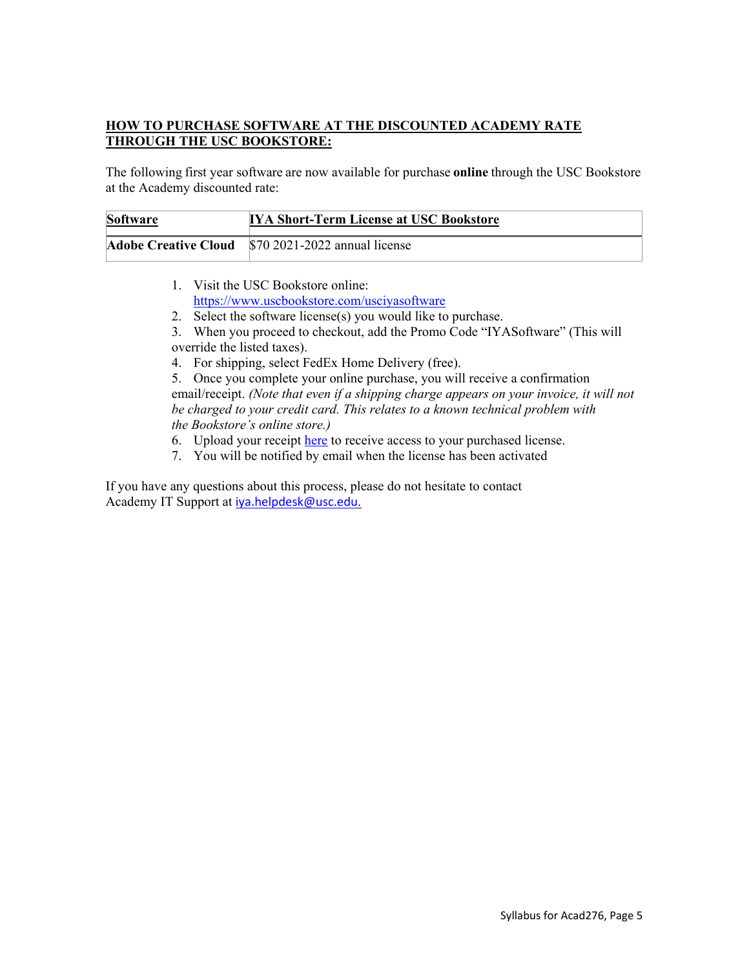# **HOW TO PURCHASE SOFTWARE AT THE DISCOUNTED ACADEMY RATE THROUGH THE USC BOOKSTORE:**

The following first year software are now available for purchase **online** through the USC Bookstore at the Academy discounted rate:

| <b>Software</b> | <b>IYA Short-Term License at USC Bookstore</b>      |
|-----------------|-----------------------------------------------------|
|                 | Adobe Creative Cloud \\$70 2021-2022 annual license |

- 1. Visit the USC Bookstore online: <https://www.uscbookstore.com/usciyasoftware>
- 2. Select the software license(s) you would like to purchase.
- 3. When you proceed to checkout, add the Promo Code "IYASoftware" (This will override the listed taxes).
- 4. For shipping, select FedEx Home Delivery (free).

5. Once you complete your online purchase, you will receive a confirmation email/receipt. *(Note that even if a shipping charge appears on your invoice, it will not be charged to your credit card. This relates to a known technical problem with the Bookstore's online store.)*

- 6. Upload your receipt [here](https://iovineyoung.wufoo.com/forms/shortterm-software-license-request-form/) to receive access to your purchased license.
- 7. You will be notified by email when the license has been activated

If you have any questions about this process, please do not hesitate to contact Academy IT Support at [iya.helpdesk@usc.edu](mailto:iya.helpdesk@usc.edu).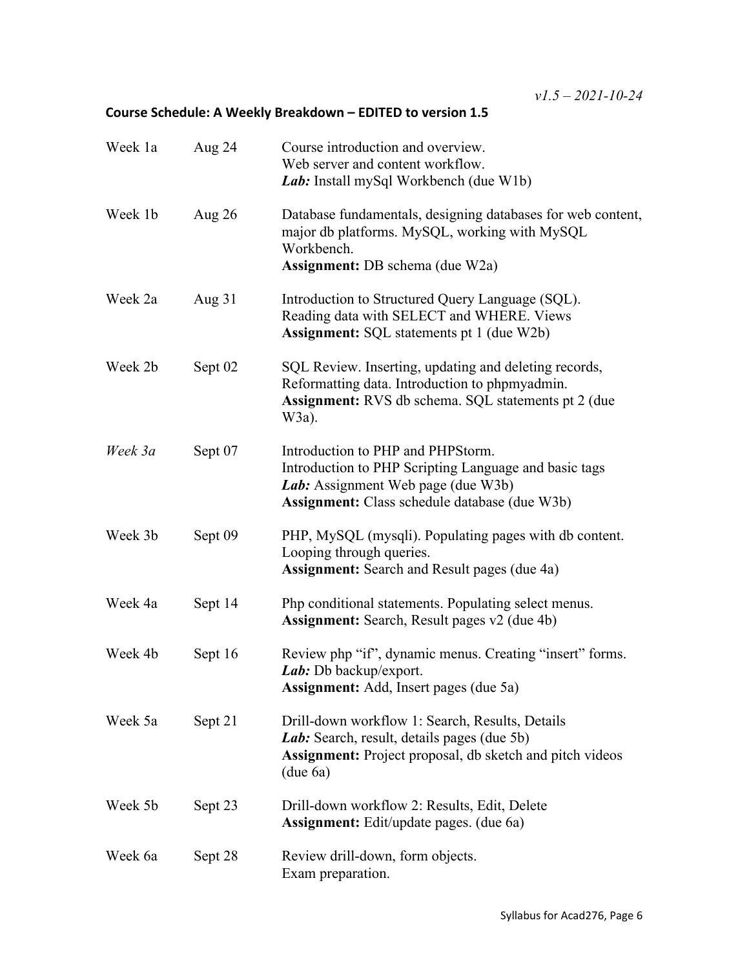# **Course Schedule: A Weekly Breakdown – EDITED to version 1.5**

| Week 1a | Aug 24   | Course introduction and overview.<br>Web server and content workflow.<br>Lab: Install mySql Workbench (due W1b)                                                                          |
|---------|----------|------------------------------------------------------------------------------------------------------------------------------------------------------------------------------------------|
| Week 1b | Aug $26$ | Database fundamentals, designing databases for web content,<br>major db platforms. MySQL, working with MySQL<br>Workbench.<br>Assignment: DB schema (due W2a)                            |
| Week 2a | Aug $31$ | Introduction to Structured Query Language (SQL).<br>Reading data with SELECT and WHERE. Views<br><b>Assignment:</b> SQL statements pt 1 (due W2b)                                        |
| Week 2b | Sept 02  | SQL Review. Inserting, updating and deleting records,<br>Reformatting data. Introduction to phpmyadmin.<br><b>Assignment:</b> RVS db schema. SQL statements pt 2 (due)<br>$W3a)$ .       |
| Week 3a | Sept 07  | Introduction to PHP and PHPStorm.<br>Introduction to PHP Scripting Language and basic tags<br>Lab: Assignment Web page (due W3b)<br><b>Assignment:</b> Class schedule database (due W3b) |
| Week 3b | Sept 09  | PHP, MySQL (mysqli). Populating pages with db content.<br>Looping through queries.<br><b>Assignment:</b> Search and Result pages (due 4a)                                                |
| Week 4a | Sept 14  | Php conditional statements. Populating select menus.<br><b>Assignment:</b> Search, Result pages v2 (due 4b)                                                                              |
| Week 4b | Sept 16  | Review php "if", dynamic menus. Creating "insert" forms.<br>Lab: Db backup/export.<br>Assignment: Add, Insert pages (due 5a)                                                             |
| Week 5a | Sept 21  | Drill-down workflow 1: Search, Results, Details<br>Lab: Search, result, details pages (due 5b)<br>Assignment: Project proposal, db sketch and pitch videos<br>(due 6a)                   |
| Week 5b | Sept 23  | Drill-down workflow 2: Results, Edit, Delete<br><b>Assignment:</b> Edit/update pages. (due 6a)                                                                                           |
| Week 6a | Sept 28  | Review drill-down, form objects.<br>Exam preparation.                                                                                                                                    |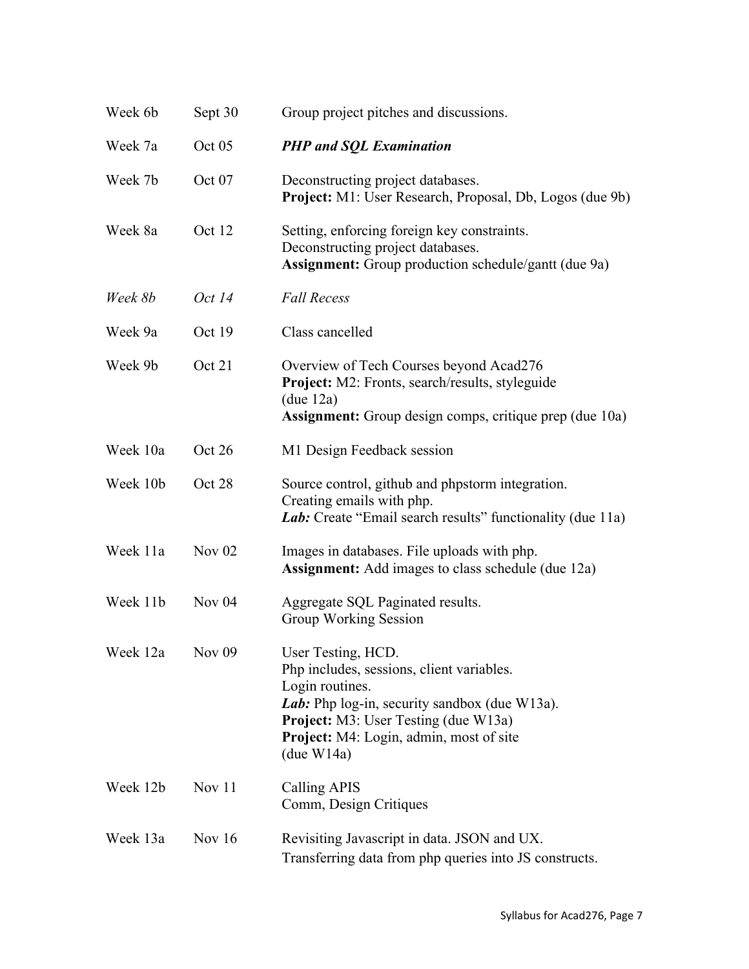| Week 6b  | Sept 30       | Group project pitches and discussions.                                                                                                                                                                                                             |
|----------|---------------|----------------------------------------------------------------------------------------------------------------------------------------------------------------------------------------------------------------------------------------------------|
| Week 7a  | Oct 05        | <b>PHP</b> and SQL Examination                                                                                                                                                                                                                     |
| Week 7b  | Oct 07        | Deconstructing project databases.<br><b>Project:</b> M1: User Research, Proposal, Db, Logos (due 9b)                                                                                                                                               |
| Week 8a  | Oct 12        | Setting, enforcing foreign key constraints.<br>Deconstructing project databases.<br>Assignment: Group production schedule/gantt (due 9a)                                                                                                           |
| Week 8b  | Oct 14        | <b>Fall Recess</b>                                                                                                                                                                                                                                 |
| Week 9a  | Oct 19        | Class cancelled                                                                                                                                                                                                                                    |
| Week 9b  | Oct 21        | Overview of Tech Courses beyond Acad276<br>Project: M2: Fronts, search/results, styleguide<br>(due 12a)<br><b>Assignment:</b> Group design comps, critique prep (due 10a)                                                                          |
| Week 10a | Oct 26        | M1 Design Feedback session                                                                                                                                                                                                                         |
| Week 10b | Oct 28        | Source control, github and phpstorm integration.<br>Creating emails with php.<br><i>Lab</i> : Create "Email search results" functionality (due 11a)                                                                                                |
| Week 11a | Nov $02$      | Images in databases. File uploads with php.<br><b>Assignment:</b> Add images to class schedule (due 12a)                                                                                                                                           |
| Week 11b | Nov $04$      | Aggregate SQL Paginated results.<br>Group Working Session                                                                                                                                                                                          |
| Week 12a | <b>Nov 09</b> | User Testing, HCD.<br>Php includes, sessions, client variables.<br>Login routines.<br>Lab: Php log-in, security sandbox (due W13a).<br><b>Project:</b> M3: User Testing (due W13a)<br><b>Project:</b> M4: Login, admin, most of site<br>(due W14a) |
| Week 12b | Nov 11        | Calling APIS<br>Comm, Design Critiques                                                                                                                                                                                                             |
| Week 13a | Nov $16$      | Revisiting Javascript in data. JSON and UX.<br>Transferring data from php queries into JS constructs.                                                                                                                                              |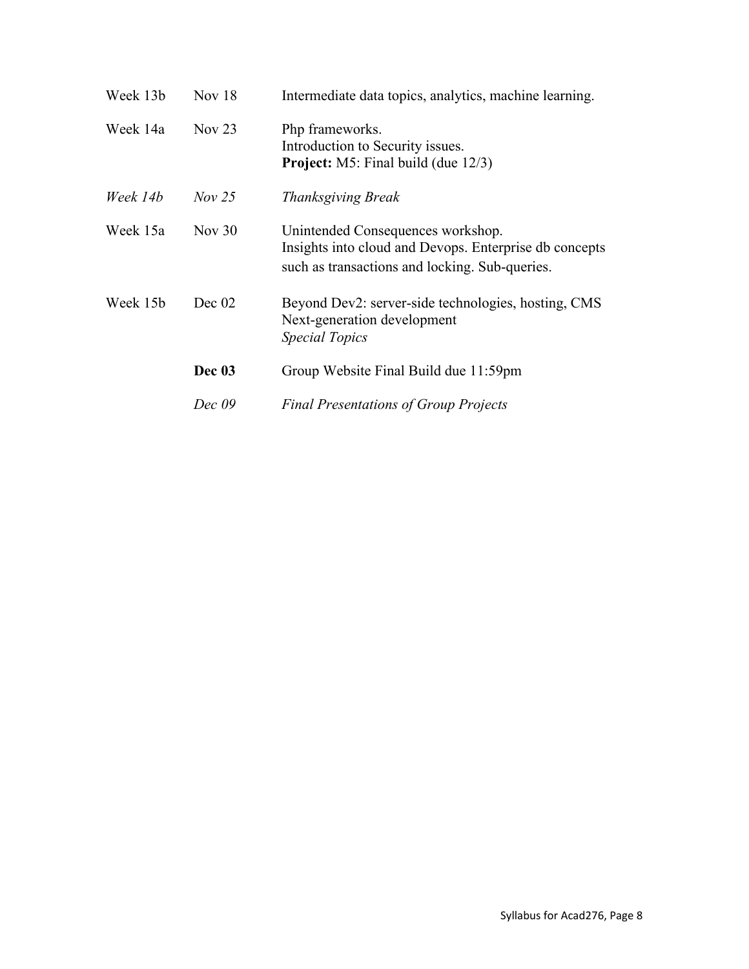| Week 13b | Nov $18$ | Intermediate data topics, analytics, machine learning.                                                                                        |
|----------|----------|-----------------------------------------------------------------------------------------------------------------------------------------------|
| Week 14a | Nov $23$ | Php frameworks.<br>Introduction to Security issues.<br><b>Project:</b> M5: Final build (due 12/3)                                             |
| Week 14b | $Nov$ 25 | <b>Thanksgiving Break</b>                                                                                                                     |
| Week 15a | Nov $30$ | Unintended Consequences workshop.<br>Insights into cloud and Devops. Enterprise db concepts<br>such as transactions and locking. Sub-queries. |
| Week 15b | Dec 02   | Beyond Dev2: server-side technologies, hosting, CMS<br>Next-generation development<br><i>Special Topics</i>                                   |
|          | Dec 03   | Group Website Final Build due 11:59pm                                                                                                         |
|          | Dec 09   | <b>Final Presentations of Group Projects</b>                                                                                                  |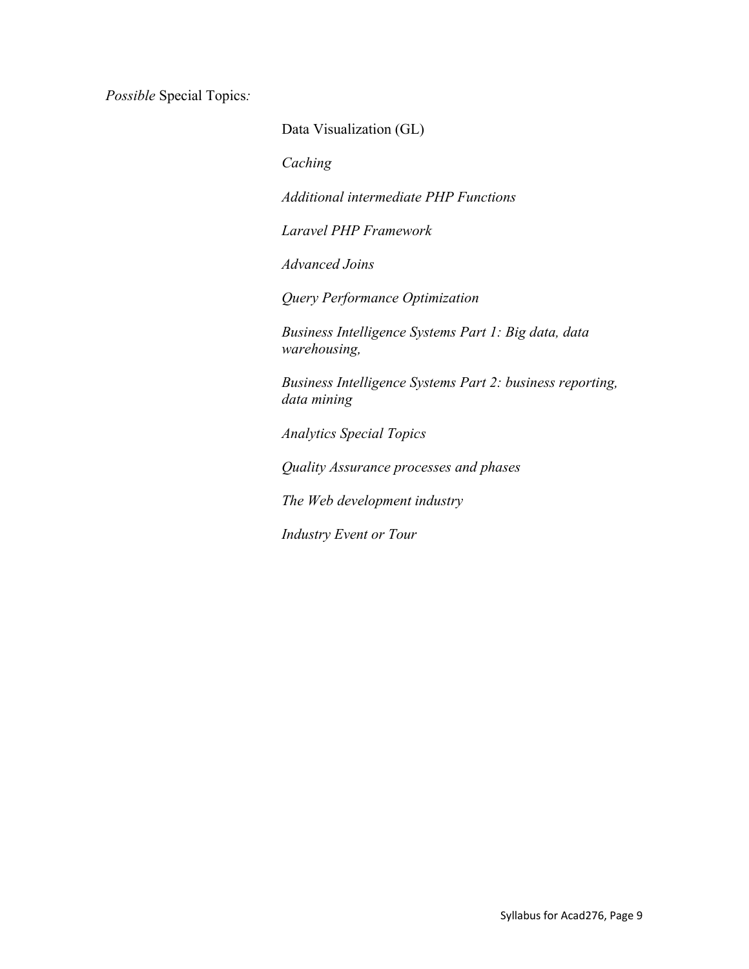*Possible* Special Topics*:*

Data Visualization (GL)

*Caching*

*Additional intermediate PHP Functions*

*Laravel PHP Framework*

*Advanced Joins*

*Query Performance Optimization*

*Business Intelligence Systems Part 1: Big data, data warehousing,*

*Business Intelligence Systems Part 2: business reporting, data mining*

*Analytics Special Topics*

*Quality Assurance processes and phases*

*The Web development industry*

*Industry Event or Tour*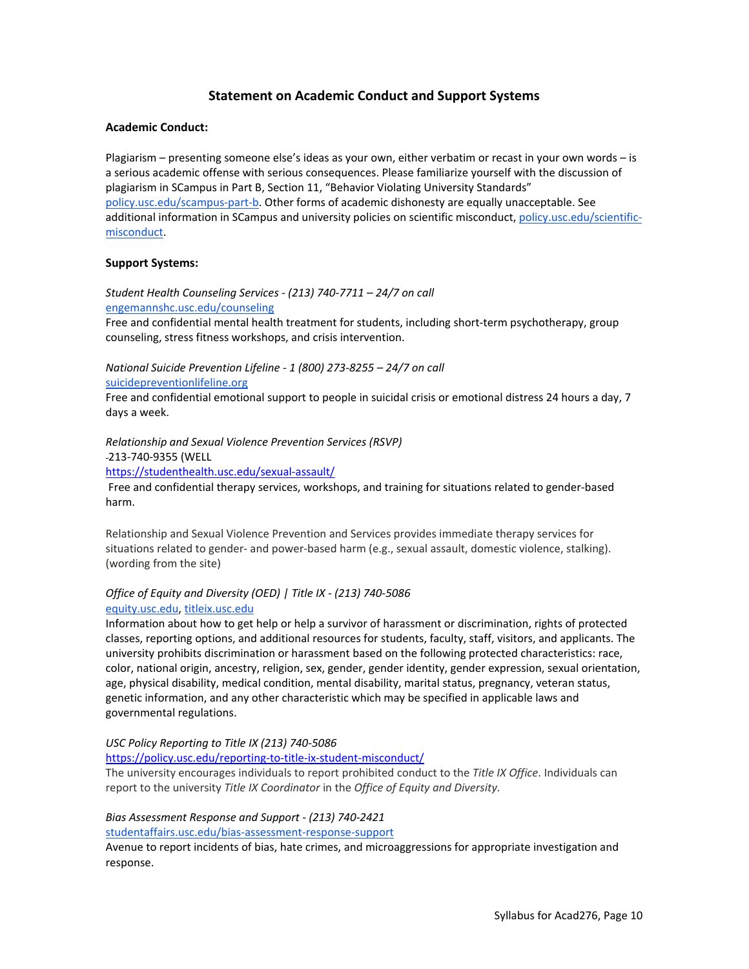# **Statement on Academic Conduct and Support Systems**

#### **Academic Conduct:**

Plagiarism – presenting someone else's ideas as your own, either verbatim or recast in your own words – is a serious academic offense with serious consequences. Please familiarize yourself with the discussion of plagiarism in SCampus in Part B, Section 11, "Behavior Violating University Standards" [policy.usc.edu/scampus-part-b.](https://policy.usc.edu/scampus-part-b/) Other forms of academic dishonesty are equally unacceptable. See additional information in SCampus and university policies on scientific misconduct[, policy.usc.edu/scientific](http://policy.usc.edu/scientific-misconduct)[misconduct.](http://policy.usc.edu/scientific-misconduct)

## **Support Systems:**

*Student Health Counseling Services - (213) 740-7711 – 24/7 on call* [engemannshc.usc.edu/counseling](https://engemannshc.usc.edu/counseling/)

Free and confidential mental health treatment for students, including short-term psychotherapy, group counseling, stress fitness workshops, and crisis intervention.

*National Suicide Prevention Lifeline - 1 (800) 273-8255 – 24/7 on call* [suicidepreventionlifeline.org](http://www.suicidepreventionlifeline.org/)

Free and confidential emotional support to people in suicidal crisis or emotional distress 24 hours a day, 7 days a week.

*Relationship and Sexual Violence Prevention Services (RSVP)* 

213-740-9355 (WELL

<https://studenthealth.usc.edu/sexual-assault/>

Free and confidential therapy services, workshops, and training for situations related to gender-based harm.

Relationship and Sexual Violence Prevention and Services provides immediate therapy services for situations related to gender- and power-based harm (e.g., sexual assault, domestic violence, stalking). (wording from the site[\)](https://engemannshc.usc.edu/rsvp/)

## *Office of Equity and Diversity (OED) | Title IX - (213) 740-5086* [equity.usc.edu,](https://equity.usc.edu/) [titleix.usc.edu](http://titleix.usc.edu/)

Information about how to get help or help a survivor of harassment or discrimination, rights of protected classes, reporting options, and additional resources for students, faculty, staff, visitors, and applicants. The university prohibits discrimination or harassment based on the following protected characteristics: race, color, national origin, ancestry, religion, sex, gender, gender identity, gender expression, sexual orientation, age, physical disability, medical condition, mental disability, marital status, pregnancy, veteran status, genetic information, and any other characteristic which may be specified in applicable laws and governmental regulations.

## *USC Policy Reporting to Title IX (213) 740-5086*

<https://policy.usc.edu/reporting-to-title-ix-student-misconduct/>

The university encourages individuals to report prohibited conduct to the *Title IX Office*. Individuals can report to the university *Title IX Coordinator* in the *Office of Equity and Diversity[.](http://sarc.usc.edu/)*

#### *Bias Assessment Response and Support - (213) 740-2421*

[studentaffairs.usc.edu/bias-assessment-response-support](https://studentaffairs.usc.edu/bias-assessment-response-support/)

Avenue to report incidents of bias, hate crimes, and microaggressions for appropriate investigation and response[.](https://studentaffairs.usc.edu/bias-assessment-response-support/)